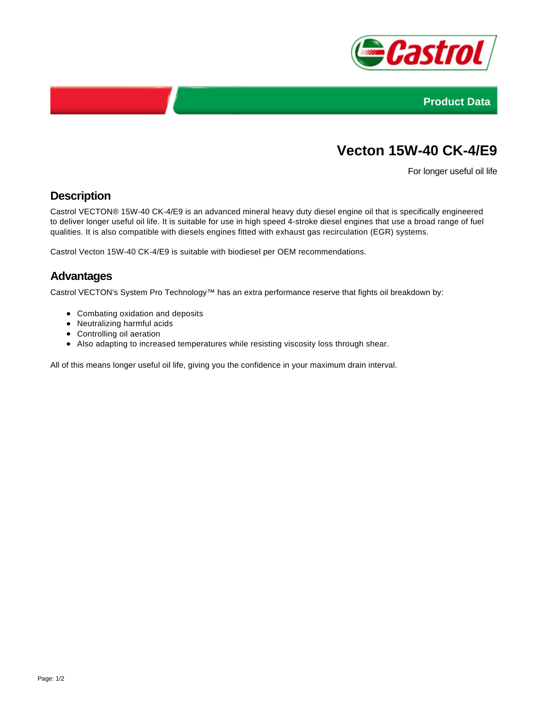



# **Vecton 15W-40 CK-4/E9**

For longer useful oil life

## **Description**

Castrol VECTON® 15W-40 CK-4/E9 is an advanced mineral heavy duty diesel engine oil that is specifically engineered to deliver longer useful oil life. It is suitable for use in high speed 4-stroke diesel engines that use a broad range of fuel qualities. It is also compatible with diesels engines fitted with exhaust gas recirculation (EGR) systems.

Castrol Vecton 15W-40 CK-4/E9 is suitable with biodiesel per OEM recommendations.

### **Advantages**

Castrol VECTON's System Pro Technology™ has an extra performance reserve that fights oil breakdown by:

- Combating oxidation and deposits
- Neutralizing harmful acids
- Controlling oil aeration
- Also adapting to increased temperatures while resisting viscosity loss through shear.

All of this means longer useful oil life, giving you the confidence in your maximum drain interval.